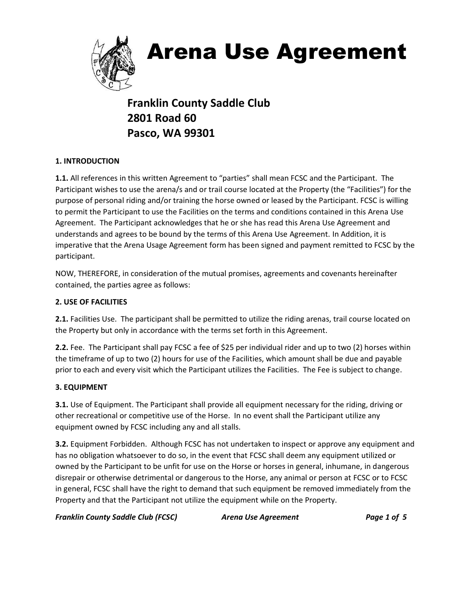

# Arena Use Agreement

**Franklin County Saddle Club 2801 Road 60 Pasco, WA 99301**

# **1. INTRODUCTION**

**1.1.** All references in this written Agreement to "parties" shall mean FCSC and the Participant. The Participant wishes to use the arena/s and or trail course located at the Property (the "Facilities") for the purpose of personal riding and/or training the horse owned or leased by the Participant. FCSC is willing to permit the Participant to use the Facilities on the terms and conditions contained in this Arena Use Agreement. The Participant acknowledges that he or she has read this Arena Use Agreement and understands and agrees to be bound by the terms of this Arena Use Agreement. In Addition, it is imperative that the Arena Usage Agreement form has been signed and payment remitted to FCSC by the participant.

NOW, THEREFORE, in consideration of the mutual promises, agreements and covenants hereinafter contained, the parties agree as follows:

# **2. USE OF FACILITIES**

**2.1.** Facilities Use. The participant shall be permitted to utilize the riding arenas, trail course located on the Property but only in accordance with the terms set forth in this Agreement.

**2.2.** Fee. The Participant shall pay FCSC a fee of \$25 per individual rider and up to two (2) horses within the timeframe of up to two (2) hours for use of the Facilities, which amount shall be due and payable prior to each and every visit which the Participant utilizes the Facilities. The Fee is subject to change.

# **3. EQUIPMENT**

**3.1.** Use of Equipment. The Participant shall provide all equipment necessary for the riding, driving or other recreational or competitive use of the Horse. In no event shall the Participant utilize any equipment owned by FCSC including any and all stalls.

**3.2.** Equipment Forbidden. Although FCSC has not undertaken to inspect or approve any equipment and has no obligation whatsoever to do so, in the event that FCSC shall deem any equipment utilized or owned by the Participant to be unfit for use on the Horse or horses in general, inhumane, in dangerous disrepair or otherwise detrimental or dangerous to the Horse, any animal or person at FCSC or to FCSC in general, FCSC shall have the right to demand that such equipment be removed immediately from the Property and that the Participant not utilize the equipment while on the Property.

*Franklin County Saddle Club (FCSC) Arena Use Agreement Page 1 of 5*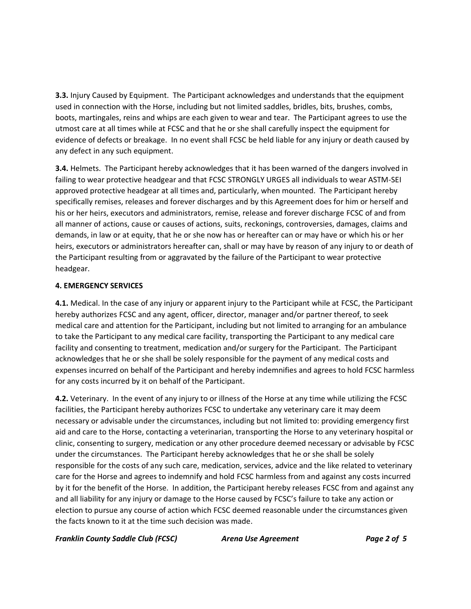**3.3.** Injury Caused by Equipment. The Participant acknowledges and understands that the equipment used in connection with the Horse, including but not limited saddles, bridles, bits, brushes, combs, boots, martingales, reins and whips are each given to wear and tear. The Participant agrees to use the utmost care at all times while at FCSC and that he or she shall carefully inspect the equipment for evidence of defects or breakage. In no event shall FCSC be held liable for any injury or death caused by any defect in any such equipment.

**3.4.** Helmets. The Participant hereby acknowledges that it has been warned of the dangers involved in failing to wear protective headgear and that FCSC STRONGLY URGES all individuals to wear ASTM-SEI approved protective headgear at all times and, particularly, when mounted. The Participant hereby specifically remises, releases and forever discharges and by this Agreement does for him or herself and his or her heirs, executors and administrators, remise, release and forever discharge FCSC of and from all manner of actions, cause or causes of actions, suits, reckonings, controversies, damages, claims and demands, in law or at equity, that he or she now has or hereafter can or may have or which his or her heirs, executors or administrators hereafter can, shall or may have by reason of any injury to or death of the Participant resulting from or aggravated by the failure of the Participant to wear protective headgear.

#### **4. EMERGENCY SERVICES**

**4.1.** Medical. In the case of any injury or apparent injury to the Participant while at FCSC, the Participant hereby authorizes FCSC and any agent, officer, director, manager and/or partner thereof, to seek medical care and attention for the Participant, including but not limited to arranging for an ambulance to take the Participant to any medical care facility, transporting the Participant to any medical care facility and consenting to treatment, medication and/or surgery for the Participant. The Participant acknowledges that he or she shall be solely responsible for the payment of any medical costs and expenses incurred on behalf of the Participant and hereby indemnifies and agrees to hold FCSC harmless for any costs incurred by it on behalf of the Participant.

**4.2.** Veterinary. In the event of any injury to or illness of the Horse at any time while utilizing the FCSC facilities, the Participant hereby authorizes FCSC to undertake any veterinary care it may deem necessary or advisable under the circumstances, including but not limited to: providing emergency first aid and care to the Horse, contacting a veterinarian, transporting the Horse to any veterinary hospital or clinic, consenting to surgery, medication or any other procedure deemed necessary or advisable by FCSC under the circumstances. The Participant hereby acknowledges that he or she shall be solely responsible for the costs of any such care, medication, services, advice and the like related to veterinary care for the Horse and agrees to indemnify and hold FCSC harmless from and against any costs incurred by it for the benefit of the Horse. In addition, the Participant hereby releases FCSC from and against any and all liability for any injury or damage to the Horse caused by FCSC's failure to take any action or election to pursue any course of action which FCSC deemed reasonable under the circumstances given the facts known to it at the time such decision was made.

*Franklin County Saddle Club (FCSC) Arena Use Agreement Page 2 of 5*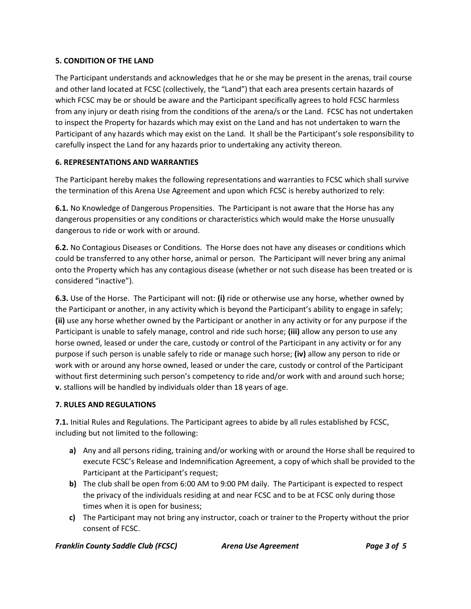#### **5. CONDITION OF THE LAND**

The Participant understands and acknowledges that he or she may be present in the arenas, trail course and other land located at FCSC (collectively, the "Land") that each area presents certain hazards of which FCSC may be or should be aware and the Participant specifically agrees to hold FCSC harmless from any injury or death rising from the conditions of the arena/s or the Land. FCSC has not undertaken to inspect the Property for hazards which may exist on the Land and has not undertaken to warn the Participant of any hazards which may exist on the Land. It shall be the Participant's sole responsibility to carefully inspect the Land for any hazards prior to undertaking any activity thereon.

#### **6. REPRESENTATIONS AND WARRANTIES**

The Participant hereby makes the following representations and warranties to FCSC which shall survive the termination of this Arena Use Agreement and upon which FCSC is hereby authorized to rely:

**6.1.** No Knowledge of Dangerous Propensities. The Participant is not aware that the Horse has any dangerous propensities or any conditions or characteristics which would make the Horse unusually dangerous to ride or work with or around.

**6.2.** No Contagious Diseases or Conditions. The Horse does not have any diseases or conditions which could be transferred to any other horse, animal or person. The Participant will never bring any animal onto the Property which has any contagious disease (whether or not such disease has been treated or is considered "inactive").

**6.3.** Use of the Horse. The Participant will not: **(i)** ride or otherwise use any horse, whether owned by the Participant or another, in any activity which is beyond the Participant's ability to engage in safely; **(ii)** use any horse whether owned by the Participant or another in any activity or for any purpose if the Participant is unable to safely manage, control and ride such horse; **(iii)** allow any person to use any horse owned, leased or under the care, custody or control of the Participant in any activity or for any purpose if such person is unable safely to ride or manage such horse; **(iv)** allow any person to ride or work with or around any horse owned, leased or under the care, custody or control of the Participant without first determining such person's competency to ride and/or work with and around such horse; **v.** stallions will be handled by individuals older than 18 years of age.

# **7. RULES AND REGULATIONS**

**7.1.** Initial Rules and Regulations. The Participant agrees to abide by all rules established by FCSC, including but not limited to the following:

- **a)** Any and all persons riding, training and/or working with or around the Horse shall be required to execute FCSC's Release and Indemnification Agreement, a copy of which shall be provided to the Participant at the Participant's request;
- **b)** The club shall be open from 6:00 AM to 9:00 PM daily. The Participant is expected to respect the privacy of the individuals residing at and near FCSC and to be at FCSC only during those times when it is open for business;
- **c)** The Participant may not bring any instructor, coach or trainer to the Property without the prior consent of FCSC.

*Franklin County Saddle Club (FCSC) Arena Use Agreement Page 3 of 5*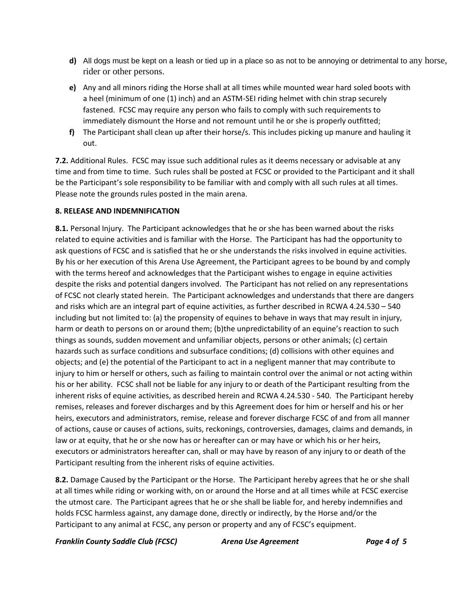- **d)** All dogs must be kept on a leash or tied up in a place so as not to be annoying or detrimental to any horse, rider or other persons.
- **e)** Any and all minors riding the Horse shall at all times while mounted wear hard soled boots with a heel (minimum of one (1) inch) and an ASTM-SEI riding helmet with chin strap securely fastened. FCSC may require any person who fails to comply with such requirements to immediately dismount the Horse and not remount until he or she is properly outfitted;
- **f)** The Participant shall clean up after their horse/s. This includes picking up manure and hauling it out.

**7.2.** Additional Rules. FCSC may issue such additional rules as it deems necessary or advisable at any time and from time to time. Such rules shall be posted at FCSC or provided to the Participant and it shall be the Participant's sole responsibility to be familiar with and comply with all such rules at all times. Please note the grounds rules posted in the main arena.

# **8. RELEASE AND INDEMNIFICATION**

**8.1.** Personal Injury. The Participant acknowledges that he or she has been warned about the risks related to equine activities and is familiar with the Horse. The Participant has had the opportunity to ask questions of FCSC and is satisfied that he or she understands the risks involved in equine activities. By his or her execution of this Arena Use Agreement, the Participant agrees to be bound by and comply with the terms hereof and acknowledges that the Participant wishes to engage in equine activities despite the risks and potential dangers involved. The Participant has not relied on any representations of FCSC not clearly stated herein. The Participant acknowledges and understands that there are dangers and risks which are an integral part of equine activities, as further described in RCWA 4.24.530 – 540 including but not limited to: (a) the propensity of equines to behave in ways that may result in injury, harm or death to persons on or around them; (b)the unpredictability of an equine's reaction to such things as sounds, sudden movement and unfamiliar objects, persons or other animals; (c) certain hazards such as surface conditions and subsurface conditions; (d) collisions with other equines and objects; and (e) the potential of the Participant to act in a negligent manner that may contribute to injury to him or herself or others, such as failing to maintain control over the animal or not acting within his or her ability. FCSC shall not be liable for any injury to or death of the Participant resulting from the inherent risks of equine activities, as described herein and RCWA 4.24.530 - 540. The Participant hereby remises, releases and forever discharges and by this Agreement does for him or herself and his or her heirs, executors and administrators, remise, release and forever discharge FCSC of and from all manner of actions, cause or causes of actions, suits, reckonings, controversies, damages, claims and demands, in law or at equity, that he or she now has or hereafter can or may have or which his or her heirs, executors or administrators hereafter can, shall or may have by reason of any injury to or death of the Participant resulting from the inherent risks of equine activities.

**8.2.** Damage Caused by the Participant or the Horse. The Participant hereby agrees that he or she shall at all times while riding or working with, on or around the Horse and at all times while at FCSC exercise the utmost care. The Participant agrees that he or she shall be liable for, and hereby indemnifies and holds FCSC harmless against, any damage done, directly or indirectly, by the Horse and/or the Participant to any animal at FCSC, any person or property and any of FCSC's equipment.

*Franklin County Saddle Club (FCSC) Arena Use Agreement Page 4 of 5*